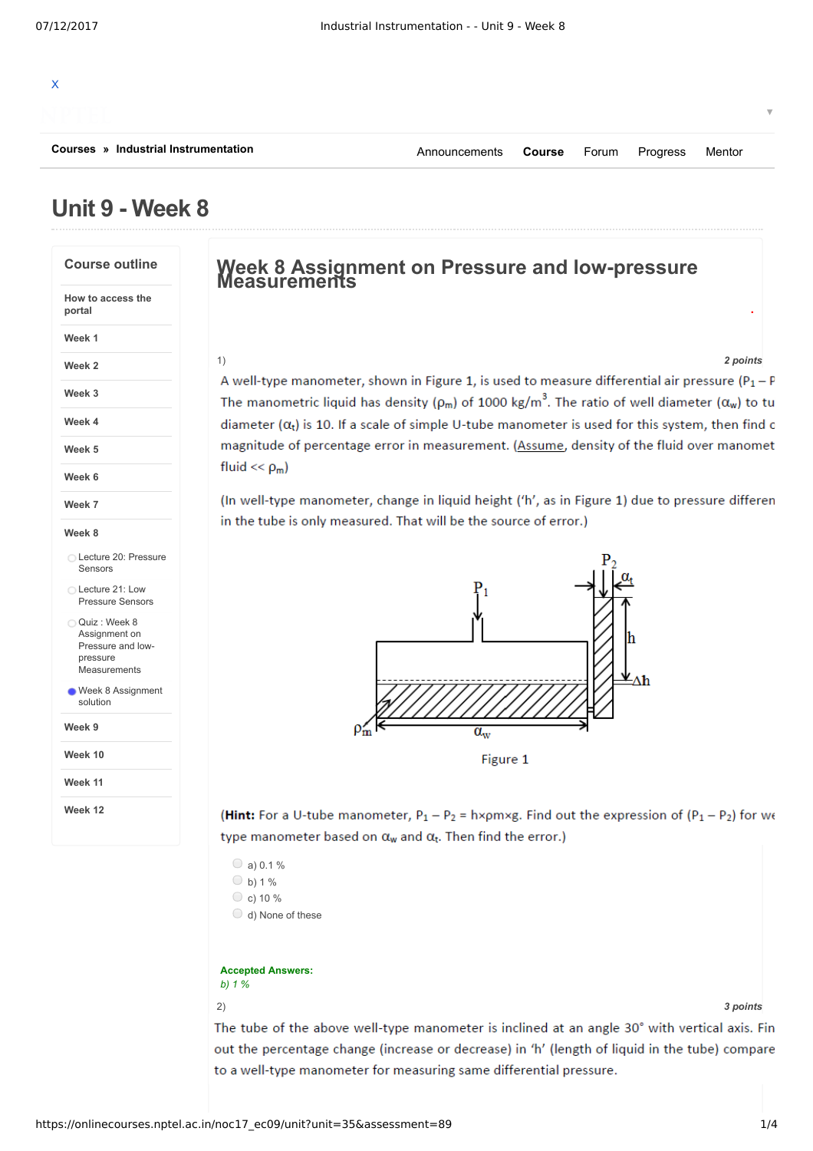# X **[Courses](https://onlinecourses.nptel.ac.in/explorer) » [Industrial Instrumentation](https://onlinecourses.nptel.ac.in/noc17_ec09/course)** ▼ [Announcements](https://onlinecourses.nptel.ac.in/noc17_ec09/announcements) **[Course](https://onlinecourses.nptel.ac.in/noc17_ec09/course)** [Forum](https://onlinecourses.nptel.ac.in/noc17_ec09/forum) [Progress](https://onlinecourses.nptel.ac.in/noc17_ec09/student/home) [Mentor](https://onlinecourses.nptel.ac.in/noc17_ec09/student/mentor)

# **Unit 9 - Week 8**

## **Course outline How to access the portal Week 1 Week 2 Week 3 Week 4 Week 5 Week 6 Week 7 Week 8 Week 9 Week 10 Week 11 Week 12** Lecture 20: [Pressure](https://onlinecourses.nptel.ac.in/noc17_ec09/unit?unit=35&lesson=30) Sensors Lecture 21: Low [Pressure](https://onlinecourses.nptel.ac.in/noc17_ec09/unit?unit=35&lesson=32) Sensors Quiz : Week 8 Assignment on Pressure and lowpressure **[Measurements](https://onlinecourses.nptel.ac.in/noc17_ec09/assessment?name=89)** Week 8 [Assignment](https://onlinecourses.nptel.ac.in/noc17_ec09/unit?unit=35&lesson=95) solution

# **Week <sup>8</sup> Assignment on Pressure and low-pressure Measurements**

1) *2 points*

**.**

A well-type manometer, shown in Figure 1, is used to measure differential air pressure ( $P_1 - P$ The manometric liquid has density ( $\rho_m$ ) of 1000 kg/m<sup>3</sup>. The ratio of well diameter ( $\alpha_w$ ) to tu diameter  $(\alpha_t)$  is 10. If a scale of simple U-tube manometer is used for this system, then find o magnitude of percentage error in measurement. (Assume, density of the fluid over manomet fluid  $<< \rho_m$ )

(In well-type manometer, change in liquid height ('h', as in Figure 1) due to pressure differen in the tube is only measured. That will be the source of error.)



(Hint: For a U-tube manometer,  $P_1 - P_2 = h \times \rho m \times g$ . Find out the expression of  $(P_1 - P_2)$  for we type manometer based on  $\alpha_w$  and  $\alpha_t$ . Then find the error.)

 $\circ$  a) 0.1 %  $O<sub>b</sub>$  1 %  $\circ$  c) 10 % d) None of these

## **Accepted Answers:**

*b) 1 %*

2) *3 points*

The tube of the above well-type manometer is inclined at an angle 30° with vertical axis. Fin out the percentage change (increase or decrease) in 'h' (length of liquid in the tube) compare to a well-type manometer for measuring same differential pressure.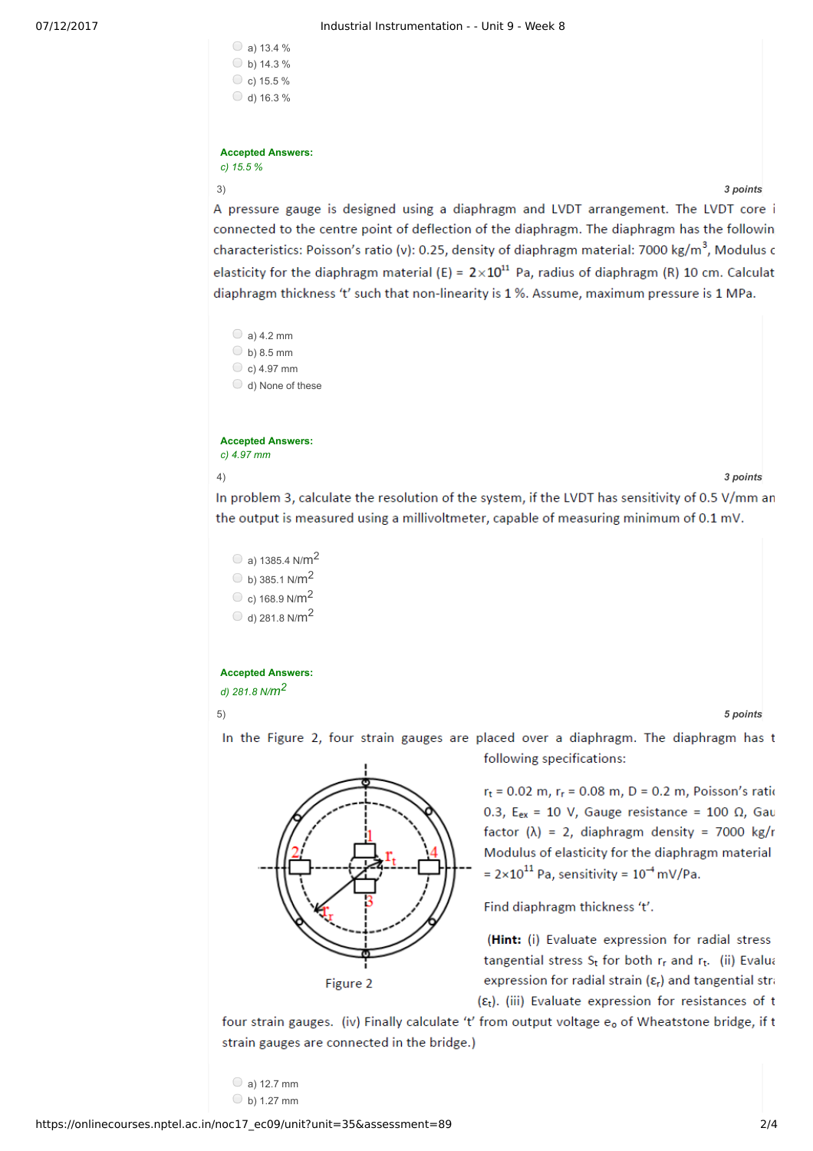| a) 13.4 %        |
|------------------|
| b) 14.3 %        |
| C c) 15.5 $%$    |
| $\cup$ d) 16.3 % |
|                  |

## **Accepted Answers:** *c) 15.5 %*

3) *3 points*

A pressure gauge is designed using a diaphragm and LVDT arrangement. The LVDT core i connected to the centre point of deflection of the diaphragm. The diaphragm has the followin characteristics: Poisson's ratio (v): 0.25, density of diaphragm material: 7000 kg/m<sup>3</sup>, Modulus c elasticity for the diaphragm material (E) =  $2 \times 10^{11}$  Pa, radius of diaphragm (R) 10 cm. Calculat diaphragm thickness 't' such that non-linearity is 1 %. Assume, maximum pressure is 1 MPa.

 $\bigcirc$  a) 4.2 mm  $\bigcirc$  b) 8.5 mm  $\circ$  c) 4.97 mm d) None of these

**Accepted Answers:** *c) 4.97 mm*

## 4) *3 points*

In problem 3, calculate the resolution of the system, if the LVDT has sensitivity of 0.5 V/mm an the output is measured using a millivoltmeter, capable of measuring minimum of 0.1 mV.

 $\circ$  a) 1385.4 N/m<sup>2</sup>  $\circ$  b) 385.1 N/m<sup>2</sup>  $\degree$  c) 168.9 N/m<sup>2</sup>  $\odot$  d) 281.8 N/m<sup>2</sup>

**Accepted Answers:** *d) 281.8 N/m<sup>2</sup>*

5) *5 points*



In the Figure 2, four strain gauges are placed over a diaphragm. The diaphragm has t following specifications:

> $r_t$  = 0.02 m,  $r_r$  = 0.08 m, D = 0.2 m, Poisson's ratio 0.3,  $E_{ex}$  = 10 V, Gauge resistance = 100  $\Omega$ , Gau factor  $(\lambda)$  = 2, diaphragm density = 7000 kg/r Modulus of elasticity for the diaphragm material =  $2 \times 10^{11}$  Pa, sensitivity =  $10^{-4}$  mV/Pa.

Find diaphragm thickness 't'.

(Hint: (i) Evaluate expression for radial stress tangential stress St for both rr and rt. (ii) Evalua expression for radial strain  $(\varepsilon_r)$  and tangential stra  $(\varepsilon_t)$ . (iii) Evaluate expression for resistances of t

four strain gauges. (iv) Finally calculate 't' from output voltage e<sub>o</sub> of Wheatstone bridge, if t strain gauges are connected in the bridge.)

 $\bigcirc$  a) 12.7 mm  $\bigcirc$  b) 1.27 mm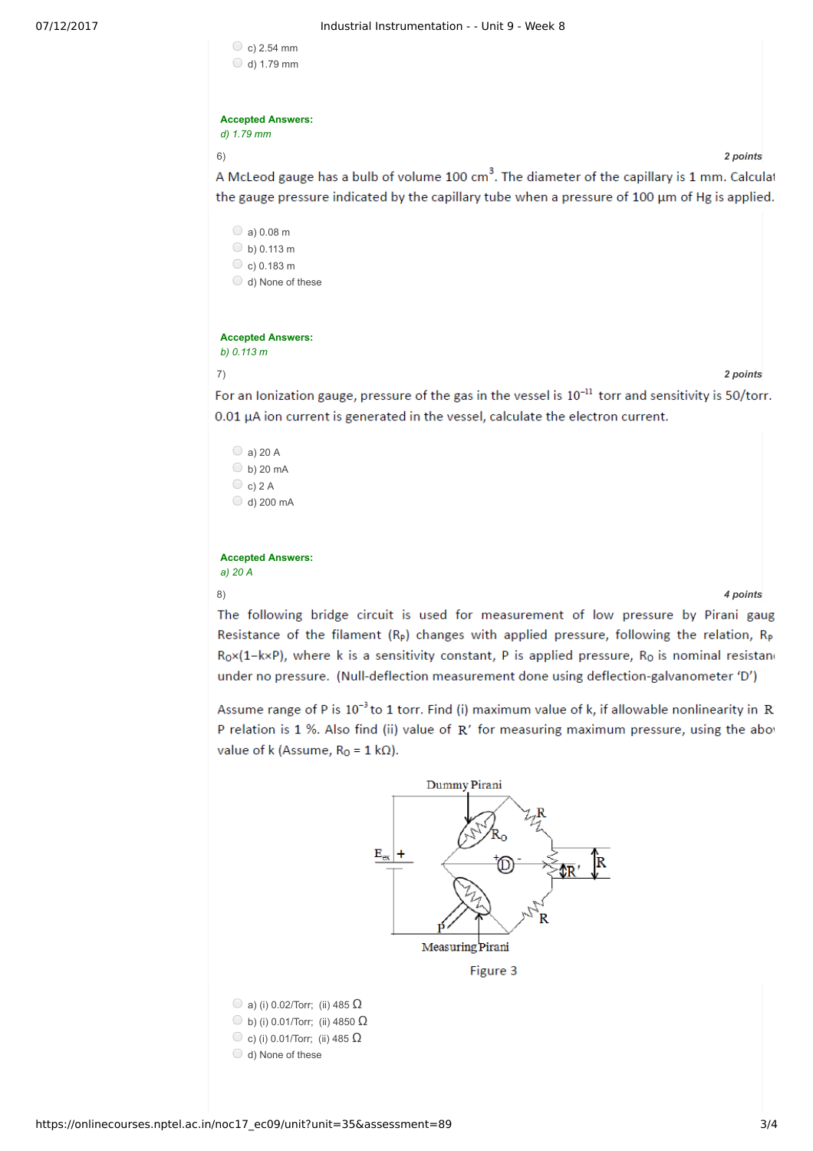| c) $2.54$ mm |  |
|--------------|--|
| d) 1.79 mm   |  |

### **Accepted Answers:** *d) 1.79 mm*

6) *2 points*

A McLeod gauge has a bulb of volume 100 cm<sup>3</sup>. The diameter of the capillary is 1 mm. Calculat the gauge pressure indicated by the capillary tube when a pressure of 100 µm of Hg is applied.

 $\circ$  a) 0.08 m  $\circ$  b) 0.113 m  $\circ$  c) 0.183 m d) None of these

## **Accepted Answers:** *b) 0.113 m*

7) *2 points*

For an lonization gauge, pressure of the gas in the vessel is 10<sup>-11</sup> torr and sensitivity is 50/torr. 0.01 µA ion current is generated in the vessel, calculate the electron current.

 $\bigcirc$  a) 20 A  $\bigcirc$  b) 20 mA  $\bigcirc$  c) 2 A  $\bigcirc$  d) 200 mA

**Accepted Answers:** *a) 20 A*

8) *4 points*

The following bridge circuit is used for measurement of low pressure by Pirani gaug Resistance of the filament  $(R_p)$  changes with applied pressure, following the relation,  $R_p$  $R_0 \times (1 - k \times P)$ , where k is a sensitivity constant, P is applied pressure,  $R_0$  is nominal resistano under no pressure. (Null-deflection measurement done using deflection-galvanometer 'D')

Assume range of P is 10<sup>-3</sup> to 1 torr. Find (i) maximum value of k, if allowable nonlinearity in R' P relation is 1 %. Also find (ii) value of R' for measuring maximum pressure, using the abov value of k (Assume,  $R_0 = 1 k\Omega$ ).